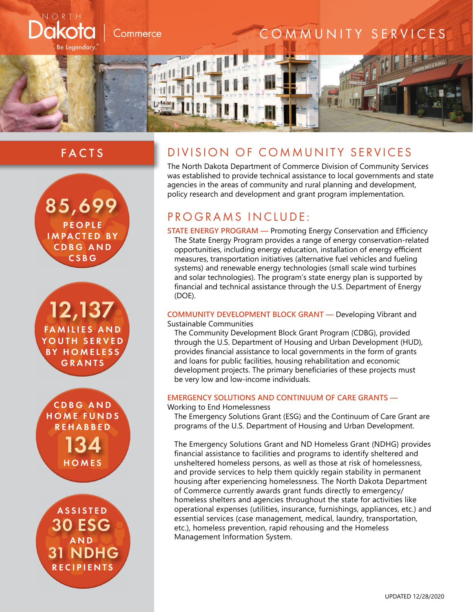

# FACTS



12,137 **FAMILIES AND** YOUTH SERVED BY HOMELESS GRANTS

134 C D B G A N D HOME FUNDS REHABBED **HOMES** 

30 ESG ASSISTED 31 NDHG AND **RECIPIENTS** 

# DIVISION OF COMMUNITY SERVICES

The North Dakota Department of Commerce Division of Community Services was established to provide technical assistance to local governments and state agencies in the areas of community and rural planning and development, policy research and development and grant program implementation.

# PROGRAMS INCLUDE:

**STATE ENERGY PROGRAM —** Promoting Energy Conservation and Efficiency The State Energy Program provides a range of energy conservation-related opportunities, including energy education, installation of energy efficient measures, transportation initiatives (alternative fuel vehicles and fueling systems) and renewable energy technologies (small scale wind turbines and solar technologies). The program's state energy plan is supported by financial and technical assistance through the U.S. Department of Energy (DOE).

## **COMMUNITY DEVELOPMENT BLOCK GRANT —** Developing Vibrant and Sustainable Communities

The Community Development Block Grant Program (CDBG), provided through the U.S. Department of Housing and Urban Development (HUD), provides financial assistance to local governments in the form of grants and loans for public facilities, housing rehabilitation and economic development projects. The primary beneficiaries of these projects must be very low and low-income individuals.

# **EMERGENCY SOLUTIONS AND CONTINUUM OF CARE GRANTS —**

### Working to End Homelessness

The Emergency Solutions Grant (ESG) and the Continuum of Care Grant are programs of the U.S. Department of Housing and Urban Development.

The Emergency Solutions Grant and ND Homeless Grant (NDHG) provides financial assistance to facilities and programs to identify sheltered and unsheltered homeless persons, as well as those at risk of homelessness, and provide services to help them quickly regain stability in permanent housing after experiencing homelessness. The North Dakota Department of Commerce currently awards grant funds directly to emergency/ homeless shelters and agencies throughout the state for activities like operational expenses (utilities, insurance, furnishings, appliances, etc.) and essential services (case management, medical, laundry, transportation, etc.), homeless prevention, rapid rehousing and the Homeless Management Information System.